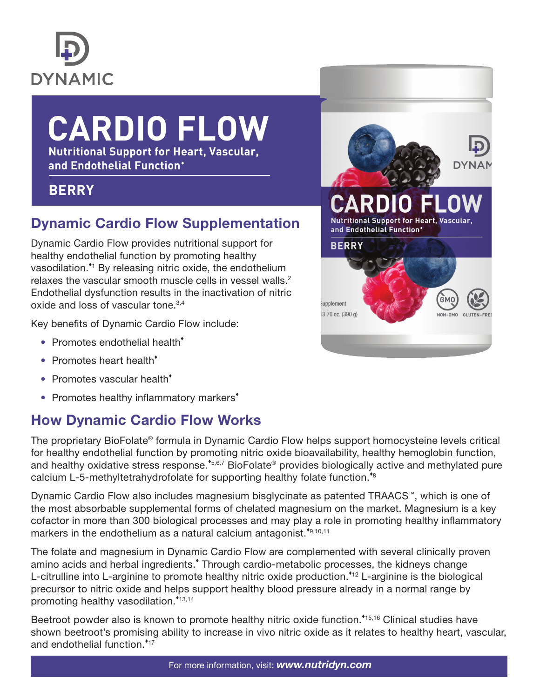

# **CARDIO FLOW Nutritional Support for Heart, Vascular,**

**and Endothelial Function\*** 

### **BERRY**

## Dynamic Cardio Flow Supplementation

Dynamic Cardio Flow provides nutritional support for healthy endothelial function by promoting healthy vasodilation.<sup>\*</sup><sup>1</sup> By releasing nitric oxide, the endothelium relaxes the vascular smooth muscle cells in vessel walls.<sup>2</sup> Endothelial dysfunction results in the inactivation of nitric oxide and loss of vascular tone.<sup>3,4</sup>

Key benefits of Dynamic Cardio Flow include:

- Promotes endothelial health<sup>\*</sup>
- Promotes heart health<sup>\*</sup>
- Promotes vascular health<sup>\*</sup>
- Promotes healthy inflammatory markers<sup>\*</sup>

## How Dynamic Cardio Flow Works

The proprietary BioFolate® formula in Dynamic Cardio Flow helps support homocysteine levels critical for healthy endothelial function by promoting nitric oxide bioavailability, healthy hemoglobin function, and healthy oxidative stress response.<sup>\*5,6,7</sup> BioFolate® provides biologically active and methylated pure calcium L-5-methyltetrahydrofolate for supporting healthy folate function.<sup>48</sup>

Dynamic Cardio Flow also includes magnesium bisglycinate as patented TRAACS™, which is one of the most absorbable supplemental forms of chelated magnesium on the market. Magnesium is a key cofactor in more than 300 biological processes and may play a role in promoting healthy inflammatory markers in the endothelium as a natural calcium antagonist.\*9,10,11

The folate and magnesium in Dynamic Cardio Flow are complemented with several clinically proven amino acids and herbal ingredients. Through cardio-metabolic processes, the kidneys change L-citrulline into L-arginine to promote healthy nitric oxide production.<sup> $12$ </sup> L-arginine is the biological precursor to nitric oxide and helps support healthy blood pressure already in a normal range by promoting healthy vasodilation.<sup>\*13,14</sup>

Beetroot powder also is known to promote healthy nitric oxide function.<sup>\*15,16</sup> Clinical studies have shown beetroot's promising ability to increase in vivo nitric oxide as it relates to healthy heart, vascular, and endothelial function.<sup>\*17</sup>